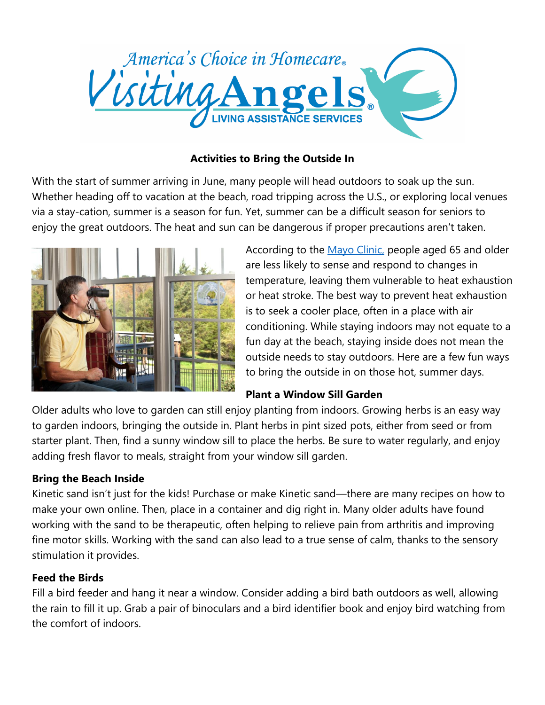

# **Activities to Bring the Outside In**

With the start of summer arriving in June, many people will head outdoors to soak up the sun. Whether heading off to vacation at the beach, road tripping across the U.S., or exploring local venues via a stay-cation, summer is a season for fun. Yet, summer can be a difficult season for seniors to enjoy the great outdoors. The heat and sun can be dangerous if proper precautions aren't taken.



According to the Mayo [Clinic,](http://www.mayoclinic.org/diseases-conditions/heat-exhaustion/basics/risk-factors/con-20033366) people aged 65 and older are less likely to sense and respond to changes in temperature, leaving them vulnerable to heat exhaustion or heat stroke. The best way to prevent heat exhaustion is to seek a cooler place, often in a place with air conditioning. While staying indoors may not equate to a fun day at the beach, staying inside does not mean the outside needs to stay outdoors. Here are a few fun ways to bring the outside in on those hot, summer days.

## **Plant a Window Sill Garden**

Older adults who love to garden can still enjoy planting from indoors. Growing herbs is an easy way to garden indoors, bringing the outside in. Plant herbs in pint sized pots, either from seed or from starter plant. Then, find a sunny window sill to place the herbs. Be sure to water regularly, and enjoy adding fresh flavor to meals, straight from your window sill garden.

## **Bring the Beach Inside**

Kinetic sand isn't just for the kids! Purchase or make Kinetic sand—there are many recipes on how to make your own online. Then, place in a container and dig right in. Many older adults have found working with the sand to be therapeutic, often helping to relieve pain from arthritis and improving fine motor skills. Working with the sand can also lead to a true sense of calm, thanks to the sensory stimulation it provides.

## **Feed the Birds**

Fill a bird feeder and hang it near a window. Consider adding a bird bath outdoors as well, allowing the rain to fill it up. Grab a pair of binoculars and a bird identifier book and enjoy bird watching from the comfort of indoors.